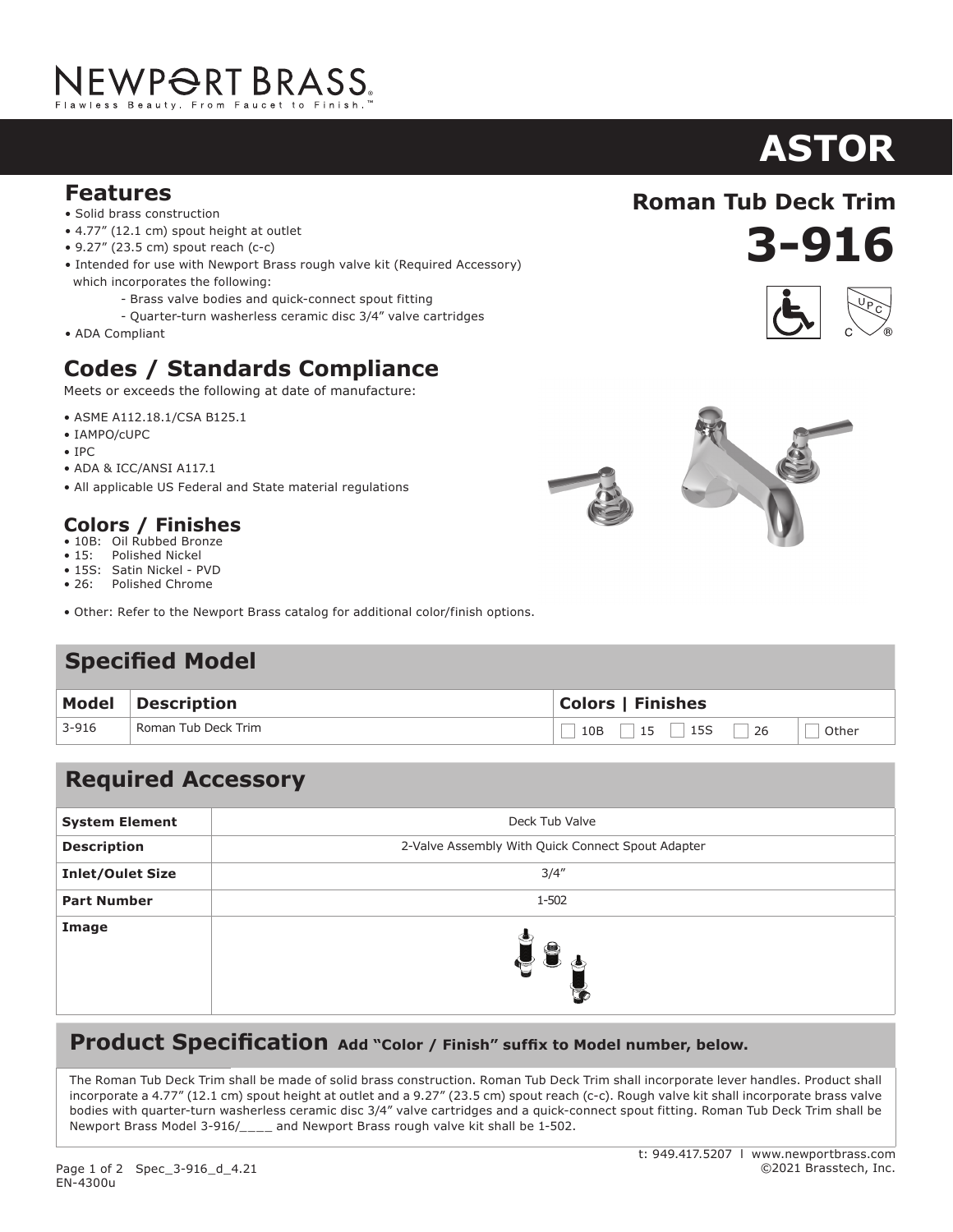## NEWP<del>O</del>RT BRASS.

#### **Features**

- Solid brass construction
- 4.77" (12.1 cm) spout height at outlet
- 9.27" (23.5 cm) spout reach (c-c)
- Intended for use with Newport Brass rough valve kit (Required Accessory) which incorporates the following:
	- Brass valve bodies and quick-connect spout fitting
	- Quarter-turn washerless ceramic disc 3/4" valve cartridges
- ADA Compliant

### **Codes / Standards Compliance**

Meets or exceeds the following at date of manufacture:

- ASME A112.18.1/CSA B125.1
- IAMPO/cUPC
- IPC
- ADA & ICC/ANSI A117.1
- All applicable US Federal and State material regulations

#### **Colors / Finishes**

- 10B: Oil Rubbed Bronze<br>• 15: Polished Nickel
- Polished Nickel
- 15S: Satin Nickel PVD • 26: Polished Chrome
- Other: Refer to the Newport Brass catalog for additional color/finish options.

#### **Specified Model**

| <b>Model</b> | Description         | <b>Colors   Finishes</b>                          |
|--------------|---------------------|---------------------------------------------------|
| $3 - 916$    | Roman Tub Deck Trim | $\Box$ 15 $\Box$ 15S<br>$\Box$ 26<br>10B<br>Other |

#### **Required Accessory**

| <b>System Element</b>   | Deck Tub Valve                                    |
|-------------------------|---------------------------------------------------|
| <b>Description</b>      | 2-Valve Assembly With Quick Connect Spout Adapter |
| <b>Inlet/Oulet Size</b> | 3/4''                                             |
| <b>Part Number</b>      | 1-502                                             |
| Image                   | $\blacksquare$                                    |

#### **Product Specification** Add "Color / Finish" suffix to Model number, below.

The Roman Tub Deck Trim shall be made of solid brass construction. Roman Tub Deck Trim shall incorporate lever handles. Product shall incorporate a 4.77" (12.1 cm) spout height at outlet and a 9.27" (23.5 cm) spout reach (c-c). Rough valve kit shall incorporate brass valve bodies with quarter-turn washerless ceramic disc 3/4" valve cartridges and a quick-connect spout fitting. Roman Tub Deck Trim shall be Newport Brass Model 3-916/\_\_\_\_ and Newport Brass rough valve kit shall be 1-502.

#### t: 949.417.5207 l www.newportbrass.com ©2021 Brasstech, Inc.

**Roman Tub Deck Trim**

**3-916**







# **ASTOR**